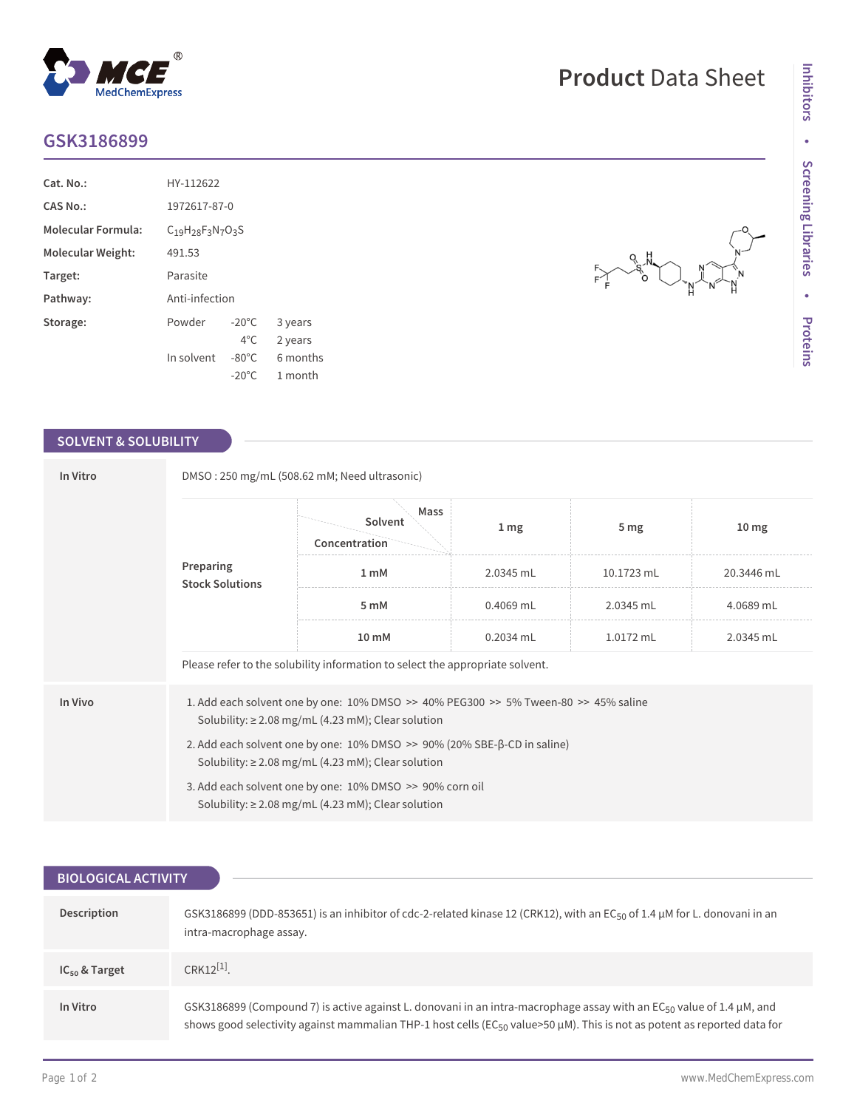## **GSK3186899**

| $Cat. No.$ :              | HY-112622                      |                 |          |  |
|---------------------------|--------------------------------|-----------------|----------|--|
| CAS No.:                  | 1972617-87-0                   |                 |          |  |
| <b>Molecular Formula:</b> | $C_{19}H_{28}F_{3}N_{7}O_{3}S$ |                 |          |  |
| Molecular Weight:         | 491.53                         |                 |          |  |
| Target:                   | Parasite                       |                 |          |  |
| Pathway:                  | Anti-infection                 |                 |          |  |
| Storage:                  | Powder                         | $-20^{\circ}$ C | 3 years  |  |
|                           |                                | $4^{\circ}$ C   | 2 years  |  |
|                           | In solvent                     | $-80^{\circ}$ C | 6 months |  |
|                           |                                | $-20^{\circ}$ C | 1 month  |  |

 $^{\circledR}$ 

MedChemExpress

## **SOLVENT & SOLUBILITY**

| In Vitro                            | DMSO: 250 mg/mL (508.62 mM; Need ultrasonic)                                                                                                               |                                  |                  |                 |                  |  |  |
|-------------------------------------|------------------------------------------------------------------------------------------------------------------------------------------------------------|----------------------------------|------------------|-----------------|------------------|--|--|
| Preparing<br><b>Stock Solutions</b> |                                                                                                                                                            | Mass<br>Solvent<br>Concentration | $1 \, \text{mg}$ | 5 <sub>mg</sub> | 10 <sub>mg</sub> |  |  |
|                                     |                                                                                                                                                            | 1 <sub>m</sub> M                 | 2.0345 mL        | 10.1723 mL      | 20.3446 mL       |  |  |
|                                     |                                                                                                                                                            | 5 mM                             | $0.4069$ mL      | 2.0345 mL       | 4.0689 mL        |  |  |
|                                     |                                                                                                                                                            | 10 mM                            | $0.2034$ mL      | 1.0172 mL       | 2.0345 mL        |  |  |
|                                     | Please refer to the solubility information to select the appropriate solvent.                                                                              |                                  |                  |                 |                  |  |  |
| In Vivo                             | 1. Add each solvent one by one: $10\%$ DMSO $\gg$ 40% PEG300 $\gg$ 5% Tween-80 $\gg$ 45% saline<br>Solubility: $\geq$ 2.08 mg/mL (4.23 mM); Clear solution |                                  |                  |                 |                  |  |  |
|                                     | 2. Add each solvent one by one: $10\%$ DMSO $\gg$ 90% (20% SBE- $\beta$ -CD in saline)<br>Solubility: $\geq$ 2.08 mg/mL (4.23 mM); Clear solution          |                                  |                  |                 |                  |  |  |
|                                     | 3. Add each solvent one by one: 10% DMSO >> 90% corn oil<br>Solubility: $\geq$ 2.08 mg/mL (4.23 mM); Clear solution                                        |                                  |                  |                 |                  |  |  |

| <b>BIOLOGICAL ACTIVITY</b> |                                                                                                                                                                                                                                                                    |  |  |  |
|----------------------------|--------------------------------------------------------------------------------------------------------------------------------------------------------------------------------------------------------------------------------------------------------------------|--|--|--|
|                            |                                                                                                                                                                                                                                                                    |  |  |  |
| Description                | GSK3186899 (DDD-853651) is an inhibitor of cdc-2-related kinase 12 (CRK12), with an EC <sub>50</sub> of 1.4 µM for L. donovani in an<br>intra-macrophage assay.                                                                                                    |  |  |  |
| $IC_{50}$ & Target         | $CRK12^{[1]}$                                                                                                                                                                                                                                                      |  |  |  |
| In Vitro                   | GSK3186899 (Compound 7) is active against L. donovani in an intra-macrophage assay with an EC <sub>50</sub> value of 1.4 µM, and<br>shows good selectivity against mammalian THP-1 host cells ( $EC_{50}$ value>50 µM). This is not as potent as reported data for |  |  |  |

## **Product** Data Sheet

 $Q$ 

६^'<br>०

 $F \searrow F$